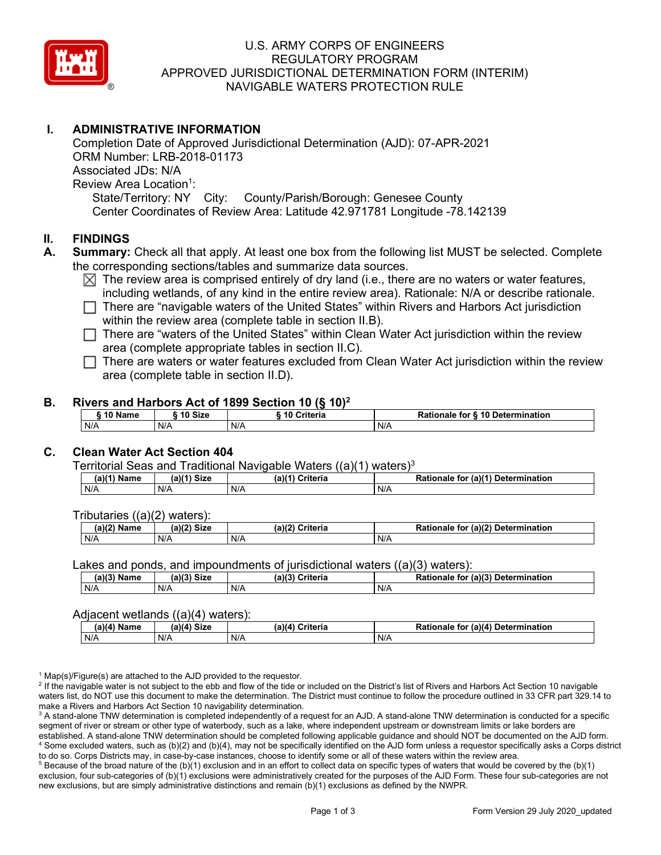

# U.S. ARMY CORPS OF ENGINEERS REGULATORY PROGRAM APPROVED JURISDICTIONAL DETERMINATION FORM (INTERIM) NAVIGABLE WATERS PROTECTION RULE

# **I. ADMINISTRATIVE INFORMATION**

Completion Date of Approved Jurisdictional Determination (AJD): 07-APR-2021 ORM Number: LRB-2018-01173 Associated JDs: N/A Review Area Location<sup>1</sup>: State/Territory: NY City: County/Parish/Borough: Genesee County Center Coordinates of Review Area: Latitude 42.971781 Longitude -78.142139

### **II. FINDINGS**

- **A. Summary:** Check all that apply. At least one box from the following list MUST be selected. Complete the corresponding sections/tables and summarize data sources.
	- $\boxtimes$  The review area is comprised entirely of dry land (i.e., there are no waters or water features, including wetlands, of any kind in the entire review area). Rationale: N/A or describe rationale.
	- $\Box$  There are "navigable waters of the United States" within Rivers and Harbors Act jurisdiction within the review area (complete table in section II.B).

 $\Box$  There are "waters of the United States" within Clean Water Act jurisdiction within the review area (complete appropriate tables in section II.C).

 $\Box$  There are waters or water features excluded from Clean Water Act jurisdiction within the review area (complete table in section II.D).

#### **B. Rivers and Harbors Act of 1899 Section 10 (§ 10)2**

| .<br>____         |         |               |                                  |  |
|-------------------|---------|---------------|----------------------------------|--|
| $\degree$ 10 Name | 10 Size | ` 10 Criteria | Rationale for § 10 Determination |  |
| N/A               | N/A     | N/A           | N/f                              |  |

# **C. Clean Water Act Section 404**

Territorial Seas and Traditional Navigable Waters  $((a)(1)$  waters)<sup>3</sup>

| (a)(1) <sup>⊾</sup> '<br>Name | <b>N/41 Circ</b><br>(a)<br>∍u∠c | $a^{\lambda(4)}$<br><b>Criteria</b> | $ur$ (a)( $4^{\circ}$ )<br>Determination<br>Rationale<br>tor |
|-------------------------------|---------------------------------|-------------------------------------|--------------------------------------------------------------|
| N/A                           | N/A                             | N/A                                 | N/A                                                          |

Tributaries ((a)(2) waters):

| $(a)$ ( $\degree$<br>Name | $\sim$ $\sim$<br>C <sub>1</sub><br>JIZE<br>,,, | (a)(2)<br>Criteria | (a)(2) Determination<br>Dational<br>tor<br>nale<br>тіг |
|---------------------------|------------------------------------------------|--------------------|--------------------------------------------------------|
| N/A                       | N/A                                            | N/A                | N/A                                                    |

Lakes and ponds, and impoundments of jurisdictional waters ((a)(3) waters):

| $(a)(3)$ $^{\prime\prime}$ | $(a)(3)$ Size | (a)(?')  | for (a)(3) Determination |
|----------------------------|---------------|----------|--------------------------|
| Name                       |               | Criteria | Rationale                |
| N/A                        | N/A           | N/A      | N/A                      |

#### Adjacent wetlands  $((a)(4)$  waters):

| .<br>.      |             |                    |                                              |
|-------------|-------------|--------------------|----------------------------------------------|
| (a)(4) Name | (a)(4) Size | (a)(4)<br>Criteria | (a)(4) Determination<br><b>Rationale for</b> |
| N/A         | N/A         | N/A                | N/A                                          |

 $1$  Map(s)/Figure(s) are attached to the AJD provided to the requestor.

<sup>2</sup> If the navigable water is not subject to the ebb and flow of the tide or included on the District's list of Rivers and Harbors Act Section 10 navigable waters list, do NOT use this document to make the determination. The District must continue to follow the procedure outlined in 33 CFR part 329.14 to make a Rivers and Harbors Act Section 10 navigability determination.

<sup>3</sup> A stand-alone TNW determination is completed independently of a request for an AJD. A stand-alone TNW determination is conducted for a specific segment of river or stream or other type of waterbody, such as a lake, where independent upstream or downstream limits or lake borders are established. A stand-alone TNW determination should be completed following applicable guidance and should NOT be documented on the AJD form. <sup>4</sup> Some excluded waters, such as (b)(2) and (b)(4), may not be specifically identified on the AJD form unless a requestor specifically asks a Corps district to do so. Corps Districts may, in case-by-case instances, choose to identify some or all of these waters within the review area.

 $5$  Because of the broad nature of the (b)(1) exclusion and in an effort to collect data on specific types of waters that would be covered by the (b)(1) exclusion, four sub-categories of (b)(1) exclusions were administratively created for the purposes of the AJD Form. These four sub-categories are not new exclusions, but are simply administrative distinctions and remain (b)(1) exclusions as defined by the NWPR.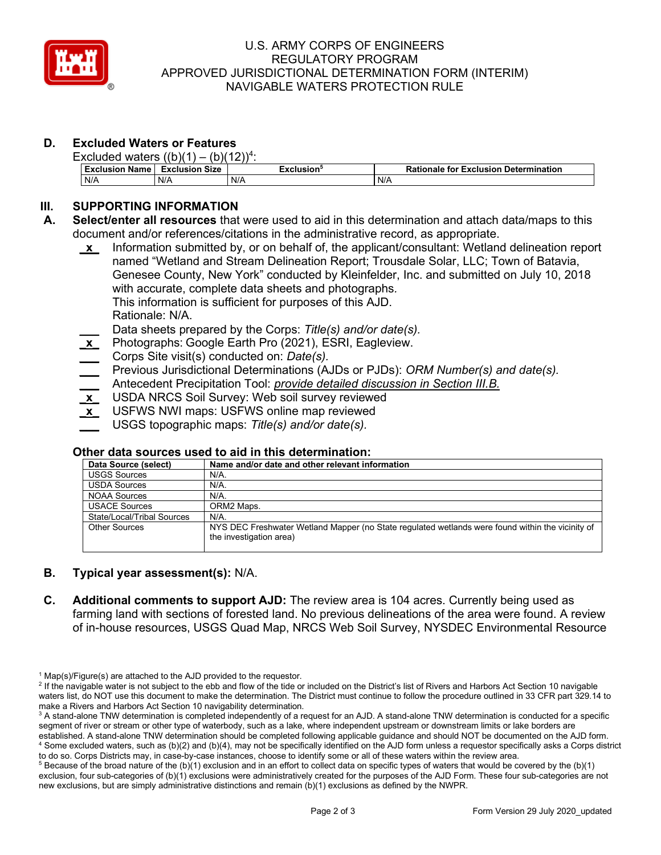

### U.S. ARMY CORPS OF ENGINEERS REGULATORY PROGRAM APPROVED JURISDICTIONAL DETERMINATION FORM (INTERIM) NAVIGABLE WATERS PROTECTION RULE

# **D. Excluded Waters or Features**

| Excluded waters $((b)(1) - (b)(12))^4$ : |                       |            |                                              |  |
|------------------------------------------|-----------------------|------------|----------------------------------------------|--|
| <b>Exclusion Name</b>                    | <b>Exclusion Size</b> | Exclusion° | <b>Rationale for Exclusion Determination</b> |  |
| N/A                                      | N/A                   | N/A        | N/A                                          |  |

# **III. SUPPORTING INFORMATION**

- **A. Select/enter all resources** that were used to aid in this determination and attach data/maps to this document and/or references/citations in the administrative record, as appropriate.
	- **\_x\_** Information submitted by, or on behalf of, the applicant/consultant: Wetland delineation report named "Wetland and Stream Delineation Report; Trousdale Solar, LLC; Town of Batavia, Genesee County, New York" conducted by Kleinfelder, Inc. and submitted on July 10, 2018 with accurate, complete data sheets and photographs*.* This information is sufficient for purposes of this AJD. Rationale: N/A.
		- **\_\_\_** Data sheets prepared by the Corps: *Title(s) and/or date(s).*
	- **\_x\_** Photographs: Google Earth Pro (2021), ESRI, Eagleview.
	- **\_\_\_** Corps Site visit(s) conducted on: *Date(s).*
	- **\_\_\_** Previous Jurisdictional Determinations (AJDs or PJDs): *ORM Number(s) and date(s).*
	- **\_\_\_** Antecedent Precipitation Tool: *provide detailed discussion in Section III.B.*
	- **\_x\_** USDA NRCS Soil Survey: Web soil survey reviewed
	- **\_x\_** USFWS NWI maps: USFWS online map reviewed
	- **\_\_\_** USGS topographic maps: *Title(s) and/or date(s).*

### **Other data sources used to aid in this determination:**

| Data Source (select)       | Name and/or date and other relevant information                                                  |
|----------------------------|--------------------------------------------------------------------------------------------------|
| <b>USGS Sources</b>        | N/A.                                                                                             |
| <b>USDA Sources</b>        | N/A.                                                                                             |
| <b>NOAA Sources</b>        | N/A.                                                                                             |
| <b>USACE Sources</b>       | ORM2 Maps.                                                                                       |
| State/Local/Tribal Sources | $N/A$ .                                                                                          |
| <b>Other Sources</b>       | NYS DEC Freshwater Wetland Mapper (no State regulated wetlands were found within the vicinity of |
|                            | the investigation area)                                                                          |

# **B. Typical year assessment(s):** N/A.

**C. Additional comments to support AJD:** The review area is 104 acres. Currently being used as farming land with sections of forested land. No previous delineations of the area were found. A review of in-house resources, USGS Quad Map, NRCS Web Soil Survey, NYSDEC Environmental Resource

 $1$  Map(s)/Figure(s) are attached to the AJD provided to the requestor.

<sup>&</sup>lt;sup>2</sup> If the navigable water is not subject to the ebb and flow of the tide or included on the District's list of Rivers and Harbors Act Section 10 navigable waters list, do NOT use this document to make the determination. The District must continue to follow the procedure outlined in 33 CFR part 329.14 to make a Rivers and Harbors Act Section 10 navigability determination.

<sup>&</sup>lt;sup>3</sup> A stand-alone TNW determination is completed independently of a request for an AJD. A stand-alone TNW determination is conducted for a specific segment of river or stream or other type of waterbody, such as a lake, where independent upstream or downstream limits or lake borders are established. A stand-alone TNW determination should be completed following applicable guidance and should NOT be documented on the AJD form. <sup>4</sup> Some excluded waters, such as (b)(2) and (b)(4), may not be specifically identified on the AJD form unless a requestor specifically asks a Corps district to do so. Corps Districts may, in case-by-case instances, choose to identify some or all of these waters within the review area.

 $5$  Because of the broad nature of the (b)(1) exclusion and in an effort to collect data on specific types of waters that would be covered by the (b)(1) exclusion, four sub-categories of (b)(1) exclusions were administratively created for the purposes of the AJD Form. These four sub-categories are not new exclusions, but are simply administrative distinctions and remain (b)(1) exclusions as defined by the NWPR.